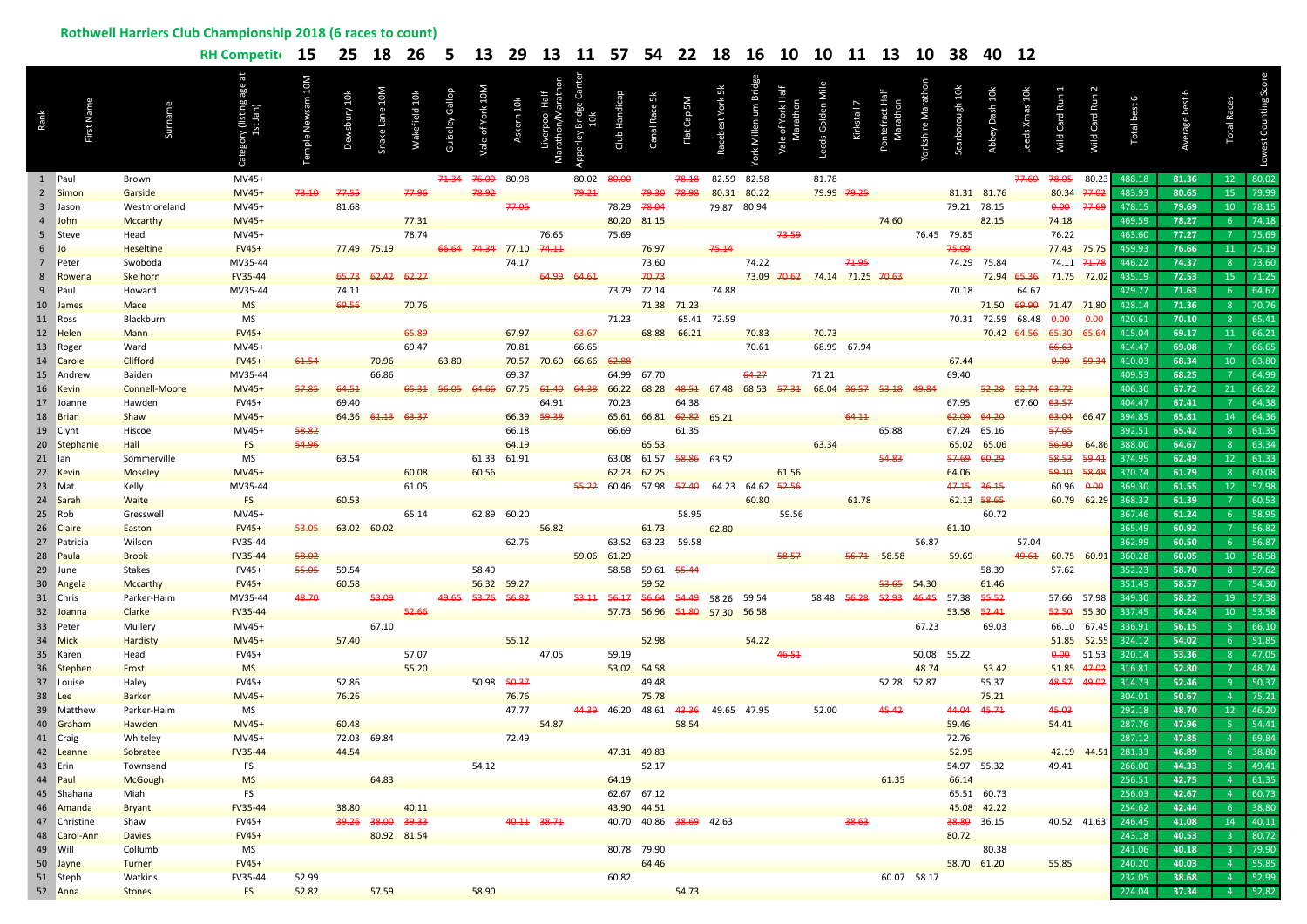## **Rothwell Harriers Club Championship 2018 (6 races to count)**

|      |                       |                         | RH Competit 15       |                  |       |                   | 25 18 26 5 13 29 13 11 57 54 22 18 16 10 10 11 13 10 38 |              |                         |             |             |                                  |             |                            |                                           |                 |                  |                                                       |       |             |                   |             |                  | 40 12                      |                        |                         |               |                    |                |                 |                |
|------|-----------------------|-------------------------|----------------------|------------------|-------|-------------------|---------------------------------------------------------|--------------|-------------------------|-------------|-------------|----------------------------------|-------------|----------------------------|-------------------------------------------|-----------------|------------------|-------------------------------------------------------|-------|-------------|-------------------|-------------|------------------|----------------------------|------------------------|-------------------------|---------------|--------------------|----------------|-----------------|----------------|
| Rank |                       |                         |                      |                  |       |                   | Wakefield 1                                             | Guiseley Gal | Vale of York 10         | ern 10k     |             |                                  |             | Canal Race 5               | Flat Cap 5M                               | Racebest York 5 | York Millenium B |                                                       |       |             |                   |             |                  |                            |                        | Wild Card Ru            | Wild Card Run | otal best 6        | Average best   | otal Races      |                |
|      | 1 Paul                | Brown                   | MV45+                |                  |       |                   |                                                         |              | 71.34 76.09             | 80.98       |             | 80.02                            | 80.00       |                            | 78.18                                     |                 | 82.59 82.58      |                                                       | 81.78 |             |                   |             |                  |                            | <del>77.69</del> 78.05 |                         | 80.23         | 488.18             | 81.36          | 12 <sup>7</sup> | 80.02          |
|      | 2 Simon               | Garside                 | MV45+                | <del>73.10</del> | 77.55 |                   | 77.96                                                   |              | 78.92                   |             |             | 79.21                            |             | 79.30                      | 78.98                                     |                 | 80.31 80.22      |                                                       |       | 79.99 79.25 |                   |             |                  | 81.31 81.76                |                        | 80.34 77.02             |               | 483.93             | 80.65          | 15 <sup>2</sup> | 79.99          |
|      | 3 Jason               | Westmoreland            | MV45+                |                  | 81.68 |                   |                                                         |              |                         | 77.05       |             |                                  | 78.29 78.04 |                            |                                           | 79.87 80.94     |                  |                                                       |       |             |                   |             | 79.21 78.15      |                            |                        | 0.00                    | 77.69         | 478.15             | 79.69          | $10-1$          | 78.15          |
|      | 4 John                | Mccarthy                | MV45+                |                  |       |                   | 77.31                                                   |              |                         |             |             |                                  |             | 80.20 81.15                |                                           |                 |                  |                                                       |       |             | 74.60             |             |                  | 82.15                      |                        | 74.18                   |               | 469.59             | 78.27          | 6 <sup>1</sup>  | 74.18          |
|      | 5 Steve               | Head                    | MV45+                |                  |       |                   | 78.74                                                   |              |                         |             | 76.65       |                                  | 75.69       |                            |                                           |                 |                  | 73.59                                                 |       |             |                   |             | 76.45 79.85      |                            |                        | 76.22                   |               | 463.60             | 77.27          |                 | 75.69          |
|      | $6$ Jo                | <b>Heseltine</b>        | $FV45+$              |                  |       | 77.49 75.19       |                                                         |              | 66.64 74.34 77.10 74.11 |             |             |                                  |             | 76.97                      |                                           | 75.14           |                  |                                                       |       |             |                   |             | 75.09            |                            |                        | 77.43 75.75             |               | 459.93             | 76.66          | 11 <sup>1</sup> | 75.19          |
|      | 7 Peter               | Swoboda                 | MV35-44              |                  |       |                   |                                                         |              |                         | 74.17       |             |                                  |             | 73.60                      |                                           |                 | 74.22            |                                                       |       | 71.95       |                   |             |                  | 74.29 75.84                |                        | 74.11 71.78             |               | 446.22             | 74.37          | 8 <sup>1</sup>  | 73.60          |
|      | 8 Rowena              | Skelhorn                | <b>FV35-44</b>       |                  | 65.73 | 62.42             | 62.27                                                   |              |                         |             | 64.99       | 64.61                            |             | 70.73                      |                                           |                 |                  | 73.09 70.62 74.14 71.25 70.63                         |       |             |                   |             |                  |                            |                        | 72.94 65.36 71.75 72.02 |               | 435.19             | 72.53          | $15-15$         | 71.25          |
|      | 9 Paul                | Howard                  | MV35-44              |                  | 74.11 |                   |                                                         |              |                         |             |             |                                  |             | 73.79 72.14                |                                           | 74.88           |                  |                                                       |       |             |                   |             | 70.18            |                            | 64.67                  |                         |               | 429.77             | 71.63          | 6 <sup>1</sup>  | 64.67          |
|      | 10 James              | Mace                    | <b>MS</b>            |                  | 69.56 |                   | 70.76                                                   |              |                         |             |             |                                  |             |                            | 71.38 71.23                               |                 |                  |                                                       |       |             |                   |             |                  | 71.50                      |                        | 69.90 71.47 71.80       |               | 428.14             | 71.36          | 8 <sup>°</sup>  | 70.76          |
|      | 11 Ross               | Blackburn               | MS                   |                  |       |                   |                                                         |              |                         |             |             |                                  | 71.23       |                            |                                           | 65.41 72.59     |                  |                                                       |       |             |                   |             |                  | 70.31 72.59                | 68.48                  | 0.00                    | 0.00          | 420.61             | 70.10          | 8 <sup>°</sup>  | 65.41          |
|      | 12 Helen              | <b>Mann</b>             | $FV45+$              |                  |       |                   | 65.89                                                   |              |                         | 67.97       |             | 63.67                            |             |                            | 68.88 66.21                               |                 | 70.83            |                                                       | 70.73 |             |                   |             |                  | 70.42 64.56                |                        | 65.30                   | 65.64         | 415.04             | 69.17          | 11 <sup>1</sup> | 66.21<br>66.65 |
|      | 13 Roger<br>14 Carole | Ward<br><b>Clifford</b> | MV45+<br>$FV45+$     | 61.54            |       | 70.96             | 69.47                                                   | 63.80        |                         | 70.81       |             | 66.65<br>70.57 70.60 66.66 62.88 |             |                            |                                           |                 | 70.61            |                                                       |       | 68.99 67.94 |                   |             | 67.44            |                            |                        | 66.63<br>0.00           | 59.34         | 414.47<br>410.03   | 69.08<br>68.34 | $10-10$         | 63.80          |
|      | 15 Andrew             | Baiden                  | MV35-44              |                  |       | 66.86             |                                                         |              |                         | 69.37       |             |                                  |             | 64.99 67.70                |                                           |                 | 64.27            |                                                       | 71.21 |             |                   |             | 69.40            |                            |                        |                         |               | 409.53             | 68.25          | $7^{\circ}$     | 64.99          |
|      | 16 Kevin              | <b>Connell-Moore</b>    | MV45+                | 57.85            | 64.51 |                   | 65.31                                                   | 56.05        | 64.66                   | 67.75       | 61.40       | 64.38                            | 66.22       |                            |                                           |                 |                  | 68.28 48.51 67.48 68.53 57.31 68.04 36.57 53.18 49.84 |       |             |                   |             |                  | 52.28 52.74                |                        | 63.72                   |               | 406.30             | 67.72          | 21              | 66.22          |
|      | 17 Joanne             | Hawden                  | FV45+                |                  | 69.40 |                   |                                                         |              |                         |             | 64.91       |                                  | 70.23       |                            | 64.38                                     |                 |                  |                                                       |       |             |                   |             | 67.95            |                            | 67.60                  | <del>63.57</del>        |               | 404.47             | 67.41          |                 | 64.38          |
|      | 18 Brian              | Shaw                    | MV45+                |                  |       | 64.36 61.13       | 63.37                                                   |              |                         | 66.39 59.38 |             |                                  |             |                            | 65.61 66.81 62.82 65.21                   |                 |                  |                                                       |       | 64.11       |                   |             | 62.09            | 64.20                      |                        | 63.04 66.47             |               | 394.85             | 65.81          | 14 <sup>°</sup> | 64.36          |
|      | 19 Clynt              | Hiscoe                  | MV45+                | 58.82            |       |                   |                                                         |              |                         | 66.18       |             |                                  | 66.69       |                            | 61.35                                     |                 |                  |                                                       |       |             | 65.88             |             | 67.24 65.16      |                            |                        | 57.65                   |               | 392.51             | 65.42          | 8 <sup>1</sup>  | 61.35          |
|      | 20 Stephanie          | Hall                    | <b>FS</b>            | 54.96            |       |                   |                                                         |              |                         | 64.19       |             |                                  |             | 65.53                      |                                           |                 |                  |                                                       | 63.34 |             |                   |             | 65.02            | 65.06                      |                        | 56.90                   | 64.86         | 388.00             | 64.67          | 8 <sup>°</sup>  | 63.34          |
|      | 21 Ian                | Sommerville             | MS                   |                  | 63.54 |                   |                                                         |              | 61.33 61.91             |             |             |                                  |             |                            | 63.08 61.57 58.86 63.52                   |                 |                  |                                                       |       |             | 54.83             |             | <del>57.69</del> | 60.29                      |                        |                         | 59.41         | 374.95             | 62.49          | 12 <sup>7</sup> | 61.33          |
|      | 22 Kevin              | <b>Moseley</b>          | MV45+                |                  |       |                   | 60.08                                                   |              | 60.56                   |             |             |                                  |             | 62.23 62.25                |                                           |                 |                  | 61.56                                                 |       |             |                   |             | 64.06            |                            |                        | 59.10                   | 58.48         | 370.74             | 61.79          | 8 <sup>1</sup>  | 60.08          |
|      | 23 Mat                | Kelly                   | MV35-44              |                  |       |                   | 61.05                                                   |              |                         |             |             |                                  |             |                            | 55.22 60.46 57.98 57.40 64.23 64.62 52.56 |                 |                  |                                                       |       |             |                   |             | 47.15 36.15      |                            |                        | 60.96 0.00              |               | 369.30             | 61.55          | 12 <sup>7</sup> | 57.98          |
|      | 24 Sarah              | <b>Waite</b>            | <b>FS</b>            |                  | 60.53 |                   |                                                         |              |                         |             |             |                                  |             |                            |                                           |                 | 60.80            |                                                       |       | 61.78       |                   |             |                  | 62.13 58.65                |                        |                         | 60.79 62.29   | 368.32             | 61.39          | $7^{\circ}$     | 60.53          |
|      | 25 Rob                | Gresswell               | MV45+                |                  |       |                   | 65.14                                                   |              | 62.89 60.20             |             |             |                                  |             |                            | 58.95                                     |                 |                  | 59.56                                                 |       |             |                   |             |                  | 60.72                      |                        |                         |               | 367.46             | 61.24          | 6               | 58.95          |
|      | 26 Claire             | Easton                  | $FV45+$              | 53.05            |       | 63.02 60.02       |                                                         |              |                         |             | 56.82       |                                  |             | 61.73                      |                                           | 62.80           |                  |                                                       |       |             |                   |             | 61.10            |                            |                        |                         |               | 365.49             | 60.92          |                 | 56.82          |
|      | 27 Patricia           | Wilson                  | FV35-44              |                  |       |                   |                                                         |              |                         | 62.75       |             |                                  |             |                            | 63.52 63.23 59.58                         |                 |                  |                                                       |       |             |                   | 56.87       |                  |                            | 57.04                  |                         |               | 362.99             | 60.50          | 6               | 56.87          |
|      | 28 Paula              | <b>Brook</b>            | <b>FV35-44</b>       | 58.02            |       |                   |                                                         |              |                         |             |             |                                  | 59.06 61.29 |                            |                                           |                 |                  | 58.57                                                 |       |             | 56.74 58.58       |             | 59.69            |                            | 49.61                  |                         | 60.75 60.91   | 360.28             | 60.05          | $10-10$         | 58.58          |
|      | 29 June               | Stakes                  | FV45+                | 55.05            | 59.54 |                   |                                                         |              | 58.49                   |             |             |                                  |             | 58.58 59.61 55.44          |                                           |                 |                  |                                                       |       |             |                   |             |                  | 58.39                      |                        | 57.62                   |               | 352.23             | 58.70          | 8 <sup>1</sup>  | 57.62          |
|      | 30 Angela             | <b>Mccarthy</b>         | $FV45+$              |                  | 60.58 |                   |                                                         |              | 56.32 59.27             |             |             |                                  |             | 59.52                      |                                           |                 |                  |                                                       |       |             | 53.65             | 54.30       |                  | 61.46                      |                        |                         |               | 351.45             | 58.57          |                 | 54.30          |
|      | 31 Chris              | Parker-Haim             | MV35-44              | 48.70            |       | 53.09             |                                                         |              | 49.65 53.76 56.82       |             |             |                                  |             |                            | 53.11 56.17 56.64 54.49 58.26 59.54       |                 |                  |                                                       |       |             | 58.48 56.28 52.93 | 46.45       | 57.38            | 55.52                      |                        | 57.66 57.98             |               | 349.30             | 58.22          | $19-19$         | 57.38          |
|      | 32 Joanna             | Clarke                  | <b>FV35-44</b>       |                  |       |                   | 52.66                                                   |              |                         |             |             |                                  |             |                            | 57.73 56.96 51.80 57.30 56.58             |                 |                  |                                                       |       |             |                   |             | 53.58            | 52.41                      |                        | 52.50                   | 55.30         | 337.45             | 56.24          | 10 <sup>°</sup> | 53.58          |
|      | 33 Peter              | Mullery                 | MV45+                |                  |       | 67.10             |                                                         |              |                         |             |             |                                  |             |                            |                                           |                 |                  |                                                       |       |             |                   | 67.23       |                  | 69.03                      |                        | 66.10 67.45             |               | 336.91             | 56.15          | 5 <sup>7</sup>  | 66.10          |
|      | 34 Mick               | Hardisty                | MV45+                |                  | 57.40 |                   |                                                         |              |                         | 55.12       |             |                                  |             | 52.98                      |                                           |                 | 54.22            |                                                       |       |             |                   |             |                  |                            |                        | 51.85 52.55             |               | 324.12             | 54.02          | 6 <sup>1</sup>  | 51.85          |
|      | 35 Karen              | Head                    | FV45+                |                  |       |                   | 57.07                                                   |              |                         |             | 47.05       |                                  | 59.19       |                            |                                           |                 |                  | 46.51                                                 |       |             |                   | 50.08 55.22 |                  |                            |                        | 0.00                    | 51.53         | 320.14             | 53.36          | 8 <sup>°</sup>  | 47.05          |
|      | 36 Stephen            | Frost                   | <b>MS</b>            |                  |       |                   | 55.20                                                   |              |                         |             |             |                                  |             | 53.02 54.58                |                                           |                 |                  |                                                       |       |             |                   | 48.74       |                  | 53.42                      |                        | 51.85 47.02             |               | 316.81             | 52.80          | 7               | 48.74          |
|      | 37 Louise             | Haley                   | FV45+                |                  | 52.86 |                   |                                                         |              | 50.98 50.37             |             |             |                                  |             | 49.48                      |                                           |                 |                  |                                                       |       |             | 52.28 52.87       |             |                  | 55.37                      |                        | 48.57 49.02             |               | 314.73             | 52.46          | 9               | 50.37          |
|      | 38 Lee                | <b>Barker</b>           | <b>MV45+</b>         |                  | 76.26 |                   |                                                         |              |                         | 76.76       |             |                                  |             | 75.78                      |                                           |                 |                  |                                                       |       |             |                   |             |                  | 75.21                      |                        |                         |               | 304.01             | 50.67          | 4 <sup>1</sup>  | 75.21          |
|      | 39 Matthew            | Parker-Haim             | MS                   |                  |       |                   |                                                         |              |                         | 47.77       |             |                                  |             |                            | 44.39 46.20 48.61 43.36 49.65 47.95       |                 |                  |                                                       | 52.00 |             |                   |             | 44.04 45.71      |                            |                        | 45.03                   |               | 292.18             | 48.70          | 12 <sup>7</sup> | 46.20          |
|      | 40 Graham             | Hawden                  | <b>MV45+</b>         |                  | 60.48 |                   |                                                         |              |                         |             | 54.87       |                                  |             |                            | 58.54                                     |                 |                  |                                                       |       |             |                   |             | 59.46            |                            |                        | 54.41                   |               | 287.76             | 47.96          | 5 <sup>1</sup>  | 54.41          |
|      | 41 Craig              | Whiteley                | MV45+                |                  |       | 72.03 69.84       |                                                         |              |                         | 72.49       |             |                                  |             |                            |                                           |                 |                  |                                                       |       |             |                   |             | 72.76            |                            |                        |                         |               | 287.12             | 47.85          | $\overline{4}$  | 69.84          |
|      | 42 Leanne             | Sobratee                | FV35-44              |                  | 44.54 |                   |                                                         |              |                         |             |             |                                  |             | 47.31 49.83                |                                           |                 |                  |                                                       |       |             |                   |             | 52.95            |                            |                        |                         |               | 42.19 44.51 281.33 | 46.89          | 6 <sup>1</sup>  | 38.80          |
|      | 43 Erin               | Townsend                | FS                   |                  |       |                   |                                                         |              | 54.12                   |             |             |                                  |             | 52.17                      |                                           |                 |                  |                                                       |       |             |                   |             | 54.97 55.32      |                            |                        | 49.41                   |               | 266.00             | 44.33          | 5 <sub>1</sub>  | 49.41          |
|      | 44 Paul<br>45 Shahana | <b>McGough</b>          | <b>MS</b>            |                  |       | 64.83             |                                                         |              |                         |             |             |                                  | 64.19       |                            |                                           |                 |                  |                                                       |       |             | 61.35             |             | 66.14            |                            |                        |                         |               | 256.51<br>256.03   | 42.75<br>42.67 | $4 -$<br>$4 -$  | 61.35<br>60.73 |
|      | 46 Amanda             | Miah                    | FS<br><b>FV35-44</b> |                  | 38.80 |                   | 40.11                                                   |              |                         |             |             |                                  |             | 62.67 67.12<br>43.90 44.51 |                                           |                 |                  |                                                       |       |             |                   |             |                  | 65.51 60.73<br>45.08 42.22 |                        |                         |               | 254.62             | 42.44          | 6 <sup>1</sup>  | 38.80          |
|      | 47 Christine          | <b>Bryant</b><br>Shaw   | FV45+                |                  |       | 39.26 38.00 39.33 |                                                         |              |                         |             | 40.11 38.71 |                                  |             |                            | 40.70 40.86 38.69 42.63                   |                 |                  |                                                       |       |             |                   |             | 38.80 36.15      |                            |                        | 40.52 41.63             |               | 246.45             | 41.08          | 14              | 40.11          |
|      | 48 Carol-Ann          | <b>Davies</b>           | <b>FV45+</b>         |                  |       |                   | 80.92 81.54                                             |              |                         |             |             |                                  |             |                            |                                           |                 |                  |                                                       |       | 38.63       |                   |             | 80.72            |                            |                        |                         |               | 243.18             | 40.53          | 3 <sup>2</sup>  | 80.72          |
|      | 49 Will               | Collumb                 | MS                   |                  |       |                   |                                                         |              |                         |             |             |                                  |             | 80.78 79.90                |                                           |                 |                  |                                                       |       |             |                   |             |                  | 80.38                      |                        |                         |               | 241.06             | 40.18          | $3 -$           | 79.90          |
|      | 50 Jayne              | <b>Turner</b>           | <b>FV45+</b>         |                  |       |                   |                                                         |              |                         |             |             |                                  |             | 64.46                      |                                           |                 |                  |                                                       |       |             |                   |             | 58.70 61.20      |                            |                        | 55.85                   |               | 240.20             | 40.03          | $4 -$           | 55.85          |
|      | 51 Steph              | Watkins                 | FV35-44              | 52.99            |       |                   |                                                         |              |                         |             |             |                                  | 60.82       |                            |                                           |                 |                  |                                                       |       |             |                   | 60.07 58.17 |                  |                            |                        |                         |               | 232.05             | 38.68          | $4 -$           | 52.99          |
|      | 52 Anna               | <b>Stones</b>           | <b>FS</b>            | 52.82            |       | 57.59             |                                                         |              | 58.90                   |             |             |                                  |             |                            | 54.73                                     |                 |                  |                                                       |       |             |                   |             |                  |                            |                        |                         |               | 224.04             | 37.34          | $4 -$           | 52.82          |
|      |                       |                         |                      |                  |       |                   |                                                         |              |                         |             |             |                                  |             |                            |                                           |                 |                  |                                                       |       |             |                   |             |                  |                            |                        |                         |               |                    |                |                 |                |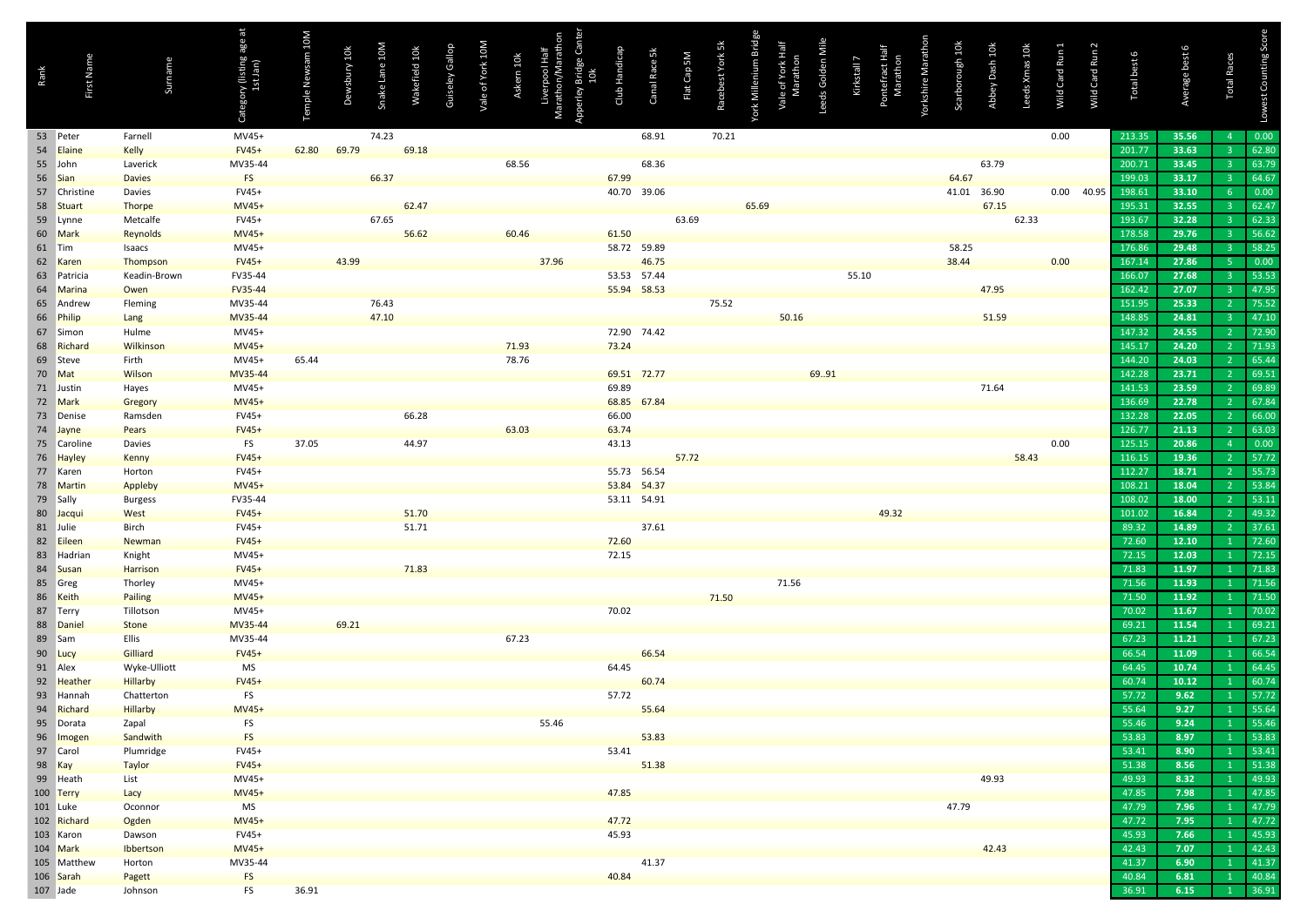| Rank | First Name               | Surname             | Category (listing age at<br>1st Jan) | Temple Newsam 10M | Dewsbury 10k | Snake Lane 10M | Wakefield 10k | Guiseley Gallop | Vale of York 10M | Askern 10k | Liverpool Half<br>Marathon/Marathon<br>Apperley Bridge Can<br>10k | Club Handicap | Canal Race 5k | Flat Cap 5M | Racebest York 5k | York Millenium Bridge | Vale of York Half<br>Marathon | Leeds Golden Mile | Kirkstall 7 | Pontefract Half<br>Marathon | Yorkshire Marathon | Scarborough 10k | Abbey Dash 10k | Leeds Xmas 10k | Wild Card Run | Wild Card Run 2 | Total best 6     | Average best 6 | <b>Total Races</b> | Lowest Counting Score |
|------|--------------------------|---------------------|--------------------------------------|-------------------|--------------|----------------|---------------|-----------------|------------------|------------|-------------------------------------------------------------------|---------------|---------------|-------------|------------------|-----------------------|-------------------------------|-------------------|-------------|-----------------------------|--------------------|-----------------|----------------|----------------|---------------|-----------------|------------------|----------------|--------------------|-----------------------|
|      | 53 Peter                 | Farnell             | MV45+                                |                   |              | 74.23          |               |                 |                  |            |                                                                   |               | 68.91         |             | 70.21            |                       |                               |                   |             |                             |                    |                 |                |                | 0.00          |                 | 213.35           | 35.56          | $\overline{4}$     | 0.00                  |
|      | 54 Elaine                | <b>Kelly</b>        | <b>FV45+</b>                         | 62.80             | 69.79        |                | 69.18         |                 |                  |            |                                                                   |               |               |             |                  |                       |                               |                   |             |                             |                    |                 |                |                |               |                 | 201.77           | 33.63          | $\overline{3}$     | 62.80                 |
|      | 55 John                  | Laverick            | MV35-44                              |                   |              |                |               |                 |                  | 68.56      |                                                                   |               | 68.36         |             |                  |                       |                               |                   |             |                             |                    |                 | 63.79          |                |               |                 | 200.71           | 33.45          | -3                 | 63.79                 |
|      | 56 Sian                  | <b>Davies</b>       | <b>FS</b>                            |                   |              | 66.37          |               |                 |                  |            |                                                                   | 67.99         |               |             |                  |                       |                               |                   |             |                             |                    | 64.67           |                |                |               |                 | 199.03           | 33.17          | $\overline{3}$     | 64.67                 |
|      | 57 Christine             | Davies              | FV45+                                |                   |              |                |               |                 |                  |            |                                                                   |               | 40.70 39.06   |             |                  |                       |                               |                   |             |                             |                    | 41.01 36.90     |                |                |               | 0.00 40.95      | 198.61           | 33.10          | -6                 | 0.00                  |
|      | 58 Stuart                | <b>Thorpe</b>       | MV45+                                |                   |              |                | 62.47         |                 |                  |            |                                                                   |               |               |             |                  | 65.69                 |                               |                   |             |                             |                    |                 | 67.15          |                |               |                 | 195.31           | 32.55          | ್ತ                 | 62.47                 |
|      | 59 Lynne                 | Metcalfe            | FV45+                                |                   |              | 67.65          |               |                 |                  |            |                                                                   |               |               | 63.69       |                  |                       |                               |                   |             |                             |                    |                 |                | 62.33          |               |                 | 193.67           | 32.28          | -3                 | 62.33                 |
|      | 60 Mark                  | Reynolds            | MV45+                                |                   |              |                | 56.62         |                 |                  | 60.46      |                                                                   | 61.50         |               |             |                  |                       |                               |                   |             |                             |                    |                 |                |                |               |                 | 178.58           | 29.76          | -3                 | 56.62                 |
|      | 61 Tim                   | Isaacs              | MV45+                                |                   |              |                |               |                 |                  |            |                                                                   |               | 58.72 59.89   |             |                  |                       |                               |                   |             |                             |                    | 58.25           |                |                |               |                 | 176.86           | 29.48          | -3                 | 58.25                 |
|      | 62 Karen                 | Thompson            | <b>FV45+</b>                         |                   | 43.99        |                |               |                 |                  |            | 37.96                                                             |               | 46.75         |             |                  |                       |                               |                   |             |                             |                    | 38.44           |                |                | 0.00          |                 | 167.14           | 27.86          | -5                 | 0.00                  |
|      | 63 Patricia              | Keadin-Brown        | FV35-44                              |                   |              |                |               |                 |                  |            |                                                                   |               | 53.53 57.44   |             |                  |                       |                               |                   | 55.10       |                             |                    |                 |                |                |               |                 | 166.07           | 27.68          | -3                 | 53.53                 |
|      | 64 Marina                | Owen                | FV35-44                              |                   |              |                |               |                 |                  |            |                                                                   |               | 55.94 58.53   |             |                  |                       |                               |                   |             |                             |                    |                 | 47.95          |                |               |                 | 162.42           | 27.07          | ್ತ                 | 47.95                 |
|      | 65 Andrew                | Fleming             | MV35-44                              |                   |              | 76.43          |               |                 |                  |            |                                                                   |               |               |             | 75.52            |                       |                               |                   |             |                             |                    |                 |                |                |               |                 | 151.95           | 25.33          |                    | 75.52                 |
|      | 66 Philip                | Lang                | MV35-44                              |                   |              | 47.10          |               |                 |                  |            |                                                                   |               |               |             |                  |                       | 50.16                         |                   |             |                             |                    |                 | 51.59          |                |               |                 | 148.85           | 24.81          | ್ತ                 | 47.10                 |
|      | 67 Simon                 | Hulme               | MV45+                                |                   |              |                |               |                 |                  |            |                                                                   |               | 72.90 74.42   |             |                  |                       |                               |                   |             |                             |                    |                 |                |                |               |                 | 147.32           | 24.55          | $\overline{2}$     | 72.90<br>71.93        |
|      | 68 Richard               | Wilkinson           | MV45+                                |                   |              |                |               |                 |                  | 71.93      |                                                                   | 73.24         |               |             |                  |                       |                               |                   |             |                             |                    |                 |                |                |               |                 | 145.17<br>144.20 | 24.20          |                    | 65.44                 |
|      | 69 Steve                 | Firth<br>Wilson     | MV45+                                | 65.44             |              |                |               |                 |                  | 78.76      |                                                                   |               | 69.51 72.77   |             |                  |                       |                               |                   |             |                             |                    |                 |                |                |               |                 | 142.28           | 24.03<br>23.71 |                    | 69.51                 |
|      | 70 Mat<br>71 Justin      |                     | MV35-44                              |                   |              |                |               |                 |                  |            |                                                                   | 69.89         |               |             |                  |                       |                               | 69.91             |             |                             |                    |                 | 71.64          |                |               |                 | 141.53           | 23.59          |                    | 69.89                 |
|      | 72 Mark                  | Hayes               | MV45+<br>MV45+                       |                   |              |                |               |                 |                  |            |                                                                   |               | 68.85 67.84   |             |                  |                       |                               |                   |             |                             |                    |                 |                |                |               |                 | 136.69           | 22.78          |                    | 67.84                 |
|      | 73 Denise                | Gregory<br>Ramsden  | FV45+                                |                   |              |                | 66.28         |                 |                  |            |                                                                   | 66.00         |               |             |                  |                       |                               |                   |             |                             |                    |                 |                |                |               |                 | 132.28           | 22.05          |                    | 66.00                 |
|      | 74 Jayne                 | Pears               | <b>FV45+</b>                         |                   |              |                |               |                 |                  | 63.03      |                                                                   | 63.74         |               |             |                  |                       |                               |                   |             |                             |                    |                 |                |                |               |                 | 126.77           | 21.13          | $\overline{2}$     | 63.03                 |
|      | 75 Caroline              | Davies              | FS                                   | 37.05             |              |                | 44.97         |                 |                  |            |                                                                   | 43.13         |               |             |                  |                       |                               |                   |             |                             |                    |                 |                |                | 0.00          |                 | 125.15           | 20.86          | $\overline{4}$     | 0.00                  |
|      | 76 Hayley                | Kenny               | <b>FV45+</b>                         |                   |              |                |               |                 |                  |            |                                                                   |               |               | 57.72       |                  |                       |                               |                   |             |                             |                    |                 |                | 58.43          |               |                 | 116.15           | 19.36          | <sup>2</sup>       | 57.72                 |
|      | 77 Karen                 | Horton              | FV45+                                |                   |              |                |               |                 |                  |            |                                                                   |               | 55.73 56.54   |             |                  |                       |                               |                   |             |                             |                    |                 |                |                |               |                 | 112.27           | 18.71          |                    | 55.73                 |
|      | 78 Martin                | Appleby             | <b>MV45+</b>                         |                   |              |                |               |                 |                  |            |                                                                   |               | 53.84 54.37   |             |                  |                       |                               |                   |             |                             |                    |                 |                |                |               |                 | 108.21           | 18.04          |                    | 53.84                 |
|      | 79 Sally                 | <b>Burgess</b>      | FV35-44                              |                   |              |                |               |                 |                  |            |                                                                   |               | 53.11 54.91   |             |                  |                       |                               |                   |             |                             |                    |                 |                |                |               |                 | 108.02           | 18.00          |                    | 53.11                 |
|      | 80 Jacqui                | West                | <b>FV45+</b>                         |                   |              |                | 51.70         |                 |                  |            |                                                                   |               |               |             |                  |                       |                               |                   |             | 49.32                       |                    |                 |                |                |               |                 | 101.02           | 16.84          |                    | 49.32                 |
|      | 81 Julie                 | Birch               | FV45+                                |                   |              |                | 51.71         |                 |                  |            |                                                                   |               | 37.61         |             |                  |                       |                               |                   |             |                             |                    |                 |                |                |               |                 | 89.32            | 14.89          |                    | 37.61                 |
|      | 82 Eileer                | Newman              | <b>FV45+</b>                         |                   |              |                |               |                 |                  |            |                                                                   | 72.60         |               |             |                  |                       |                               |                   |             |                             |                    |                 |                |                |               |                 | 72.60            | 12.10          |                    | 72.60                 |
|      | 83 Hadrian               | Knight              | MV45+                                |                   |              |                |               |                 |                  |            |                                                                   | 72.15         |               |             |                  |                       |                               |                   |             |                             |                    |                 |                |                |               |                 | 72.15            | 12.03          |                    | 72.15                 |
|      | 84 Susan                 | Harrison            | <b>FV45+</b>                         |                   |              |                | 71.83         |                 |                  |            |                                                                   |               |               |             |                  |                       |                               |                   |             |                             |                    |                 |                |                |               |                 | 71.83            | 11.97          |                    | 71.83                 |
|      | 85 Greg                  | Thorley             | MV45+                                |                   |              |                |               |                 |                  |            |                                                                   |               |               |             |                  |                       | 71.56                         |                   |             |                             |                    |                 |                |                |               |                 | 71.56            | 11.93          |                    | 71.56                 |
|      | 86 Keith                 | <b>Pailing</b>      | <b>MV45+</b>                         |                   |              |                |               |                 |                  |            |                                                                   |               |               |             | 71.50            |                       |                               |                   |             |                             |                    |                 |                |                |               |                 | 71.50            | 11.92          |                    | 71.50                 |
|      | 87 Terry                 | Tillotson           | MV45+                                |                   |              |                |               |                 |                  |            |                                                                   | 70.02         |               |             |                  |                       |                               |                   |             |                             |                    |                 |                |                |               |                 | 70.02            | 11.67          |                    | 70.02                 |
|      | 88 Daniel                | Stone               | MV35-44                              |                   | 69.21        |                |               |                 |                  |            |                                                                   |               |               |             |                  |                       |                               |                   |             |                             |                    |                 |                |                |               |                 | 69.21            | 11.54          |                    | 69.21                 |
|      | 89 Sam                   | Ellis               | MV35-44                              |                   |              |                |               |                 |                  | 67.23      |                                                                   |               |               |             |                  |                       |                               |                   |             |                             |                    |                 |                |                |               |                 | 67.23            | 11.21          |                    | 67.23                 |
|      | 90 Lucy                  | Gilliard            | <b>FV45+</b>                         |                   |              |                |               |                 |                  |            |                                                                   |               | 66.54         |             |                  |                       |                               |                   |             |                             |                    |                 |                |                |               |                 | 66.54            | 11.09          |                    | 66.54                 |
|      | 91 Alex                  | Wyke-Ulliott        | MS                                   |                   |              |                |               |                 |                  |            |                                                                   | 64.45         |               |             |                  |                       |                               |                   |             |                             |                    |                 |                |                |               |                 | 64.45            | 10.74          |                    | 64.45                 |
|      | 92 Heather               | <b>Hillarby</b>     | <b>FV45+</b>                         |                   |              |                |               |                 |                  |            |                                                                   |               | 60.74         |             |                  |                       |                               |                   |             |                             |                    |                 |                |                |               |                 | 60.74            | 10.12          |                    | 60.74                 |
|      | 93 Hannah                | Chatterton          | FS                                   |                   |              |                |               |                 |                  |            |                                                                   | 57.72         |               |             |                  |                       |                               |                   |             |                             |                    |                 |                |                |               |                 | 57.72            | 9.62           |                    | 57.72                 |
|      | 94 Richard               | <b>Hillarby</b>     | <b>MV45+</b>                         |                   |              |                |               |                 |                  |            |                                                                   |               | 55.64         |             |                  |                       |                               |                   |             |                             |                    |                 |                |                |               |                 | 55.64            | 9.27           |                    | 55.64                 |
|      | 95 Dorata                | Zapal               | FS                                   |                   |              |                |               |                 |                  |            | 55.46                                                             |               |               |             |                  |                       |                               |                   |             |                             |                    |                 |                |                |               |                 | 55.46            | 9.24           |                    | 55.46                 |
|      | 96 Imogen                | Sandwith            | <b>FS</b>                            |                   |              |                |               |                 |                  |            |                                                                   |               | 53.83         |             |                  |                       |                               |                   |             |                             |                    |                 |                |                |               |                 | 53.83            | 8.97           |                    | 53.83                 |
|      | 97 Carol                 | Plumridge           | FV45+                                |                   |              |                |               |                 |                  |            |                                                                   | 53.41         |               |             |                  |                       |                               |                   |             |                             |                    |                 |                |                |               |                 | 53.41            | 8.90           |                    | 53.41                 |
|      | 98 Kay                   | <b>Taylor</b>       | <b>FV45+</b>                         |                   |              |                |               |                 |                  |            |                                                                   |               | 51.38         |             |                  |                       |                               |                   |             |                             |                    |                 |                |                |               |                 | 51.38            | 8.56           |                    | 51.38                 |
|      | 99 Heath                 | List                | MV45+                                |                   |              |                |               |                 |                  |            |                                                                   |               |               |             |                  |                       |                               |                   |             |                             |                    |                 | 49.93          |                |               |                 | 49.93            | 8.32           |                    | 49.93                 |
|      | 100 Terry                | Lacy                | MV45+                                |                   |              |                |               |                 |                  |            |                                                                   | 47.85         |               |             |                  |                       |                               |                   |             |                             |                    |                 |                |                |               |                 | 47.85            | 7.98           |                    | 47.85                 |
|      | 101 Luke                 | Oconnor             | MS                                   |                   |              |                |               |                 |                  |            |                                                                   | 47.72         |               |             |                  |                       |                               |                   |             |                             |                    | 47.79           |                |                |               |                 | 47.79<br>47.72   | 7.96<br>7.95   |                    | 47.79<br>47.72        |
|      | 102 Richard<br>103 Karon | Ogden               | MV45+<br>FV45+                       |                   |              |                |               |                 |                  |            |                                                                   | 45.93         |               |             |                  |                       |                               |                   |             |                             |                    |                 |                |                |               |                 | 45.93            | 7.66           |                    | 45.93                 |
|      | 104 Mark                 | Dawson              | MV45+                                |                   |              |                |               |                 |                  |            |                                                                   |               |               |             |                  |                       |                               |                   |             |                             |                    |                 | 42.43          |                |               |                 | 42.43            | 7.07           |                    | 42.43                 |
|      | 105 Matthew              | Ibbertson<br>Horton | MV35-44                              |                   |              |                |               |                 |                  |            |                                                                   |               | 41.37         |             |                  |                       |                               |                   |             |                             |                    |                 |                |                |               |                 | 41.37            | 6.90           |                    | 41.37                 |
|      | 106 Sarah                | Pagett              | FS                                   |                   |              |                |               |                 |                  |            |                                                                   | 40.84         |               |             |                  |                       |                               |                   |             |                             |                    |                 |                |                |               |                 | 40.84            | 6.81           |                    | 40.84                 |
|      | 107 Jade                 | Johnson             | FS                                   | 36.91             |              |                |               |                 |                  |            |                                                                   |               |               |             |                  |                       |                               |                   |             |                             |                    |                 |                |                |               |                 | 36.91            | 6.15           | -1                 | 36.91                 |
|      |                          |                     |                                      |                   |              |                |               |                 |                  |            |                                                                   |               |               |             |                  |                       |                               |                   |             |                             |                    |                 |                |                |               |                 |                  |                |                    |                       |